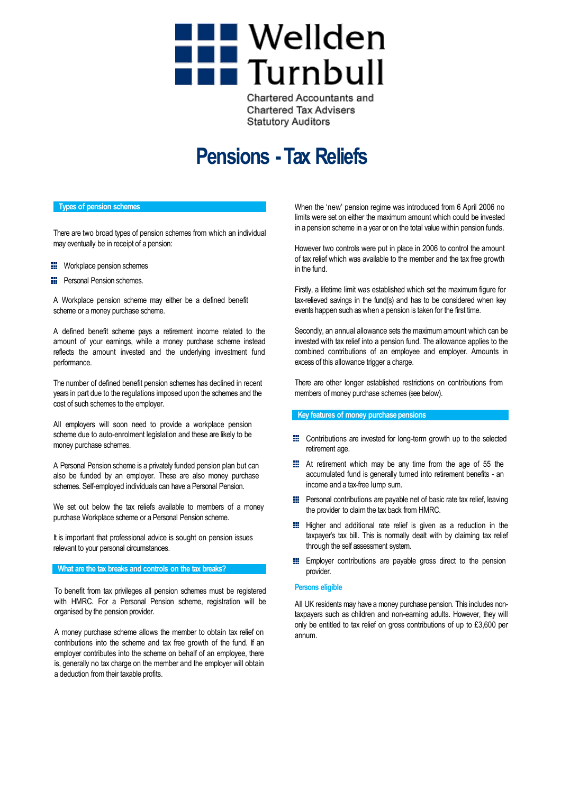# **THE Wellden**<br>Turnbull

**Chartered Accountants and Chartered Tax Advisers Statutory Auditors** 

# **Pensions -Tax Reliefs**

### **Types of pension schemes**

There are two broad types of pension schemes from which an individual may eventually be in receipt of a pension:

- **EE** Workplace pension schemes
- **EXECUTE:** Personal Pension schemes.

A Workplace pension scheme may either be a defined benefit scheme or amoney purchase scheme.

A defined benefit scheme pays a retirement income related to the amount of your earnings, while a money purchase scheme instead reflects the amount invested and the underlying investment fund performance.

The number of defined benefit pension schemes has declined in recent years in part due to the regulations imposed upon the schemes and the cost of such schemes to the employer.

All employers will soon need to provide a workplace pension scheme due to auto-enrolment legislation and these are likely to be money purchase schemes.

A Personal Pension scheme is a privately funded pension plan but can also be funded by an employer. These are also money purchase schemes. Self-employed individuals can have a Personal Pension.

We set out below the tax reliefs available to members of a money purchase Workplace scheme or a Personal Pension scheme.

It is important that professional advice is sought on pension issues relevant to your personal circumstances.

#### **What are the tax breaks and controls on the tax breaks?**

To benefit from tax privileges all pension schemes must be registered with HMRC. For a Personal Pension scheme, registration will be organised by the pension provider.

A money purchase scheme allows the member to obtain tax relief on contributions into the scheme and tax free growth of the fund. If an employer contributes into the scheme on behalf of an employee, there is, generally no tax charge on the member and the employer will obtain a deduction from their taxable profits.

When the 'new' pension regime was introduced from 6 April 2006 no limits were set on either the maximum amount which could be invested in a pension scheme in a year or on the total value within pension funds.

However two controls were put in place in 2006 to control the amount of tax relief which was available to the member and the tax free growth in the fund.

Firstly, a lifetime limit was established which set the maximum figure for tax-relieved savings in the fund(s) and has to be considered when key events happen such as when a pension is taken for the first time.

Secondly, an annual allowance sets the maximum amount which can be invested with tax relief into a pension fund. The allowance applies to the combined contributions of an employee and employer. Amounts in excess of this allowance trigger a charge.

There are other longer established restrictions on contributions from members of money purchase schemes (see below).

#### **Key features of money purchase pensions**

- **EXECONTRIBUTIONS** are invested for long-term growth up to the selected retirement age.
- At retirement which may be any time from the age of 55 the accumulated fund is generally turned into retirement benefits - an income and a tax-free lump sum.
- **E** Personal contributions are payable net of basic rate tax relief, leaving the provider to claim the tax back from HMRC.
- **Higher and additional rate relief is given as a reduction in the** taxpayer's tax bill. This is normally dealt with by claiming tax relief through the self assessment system.
- **Employer contributions are payable gross direct to the pension** provider.

#### **Persons eligible**

All UK residents may have a money purchase pension. This includes nontaxpayers such as children and non-earning adults. However, they will only be entitled to tax relief on gross contributions of up to £3,600 per annum.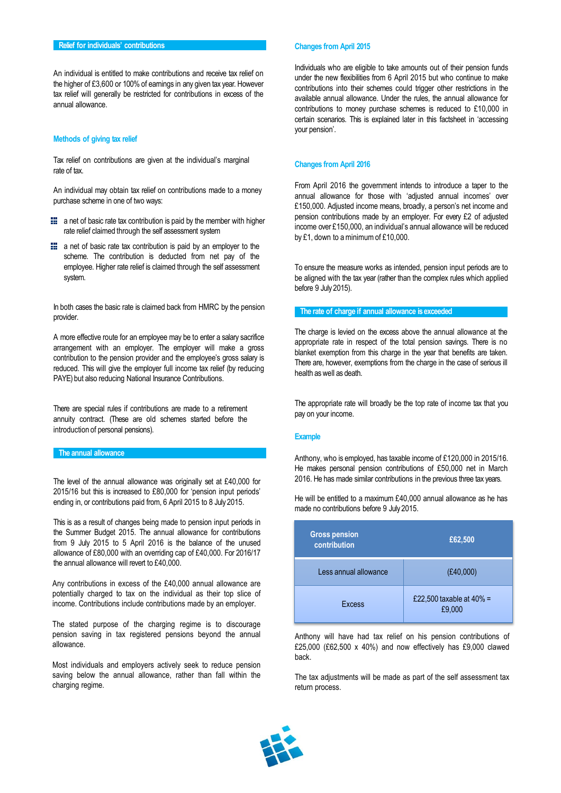An individual is entitled to make contributions and receive tax relief on the higher of £3,600 or 100% of earnings in any given tax year. However tax relief will generally be restricted for contributions in excess of the annual allowance.

#### **Methods of giving tax relief**

Tax relief on contributions are given at the individual's marginal rate of tax.

An individual may obtain tax relief on contributions made to a money purchase scheme in one of two ways:

- $\blacksquare$  a net of basic rate tax contribution is paid by the member with higher rate relief claimed through the self assessment system
- **E** a net of basic rate tax contribution is paid by an employer to the scheme. The contribution is deducted from net pay of the employee. Higher rate relief is claimed through the self assessment system.

In both cases the basic rate is claimed back from HMRC by the pension provider.

A more effective route for an employee may be to enter a salary sacrifice arrangement with an employer. The employer will make a gross contribution to the pension provider and the employee's gross salary is reduced. This will give the employer full income tax relief (by reducing PAYE) but also reducing National Insurance Contributions.

There are special rules if contributions are made to a retirement annuity contract. (These are old schemes started before the introduction of personal pensions).

# **The annual allowance**

The level of the annual allowance was originally set at £40,000 for 2015/16 but this is increased to £80,000 for 'pension input periods' ending in, or contributions paid from, 6 April 2015 to 8 July 2015.

This is as a result of changes being made to pension input periods in the Summer Budget 2015. The annual allowance for contributions from 9 July 2015 to 5 April 2016 is the balance of the unused allowance of £80,000 with an overriding cap of £40,000. For 2016/17 the annual allowance will revert to £40,000.

Any contributions in excess of the £40,000 annual allowance are potentially charged to tax on the individual as their top slice of income. Contributions include contributions made by an employer.

The stated purpose of the charging regime is to discourage pension saving in tax registered pensions beyond the annual allowance.

Most individuals and employers actively seek to reduce pension saving below the annual allowance, rather than fall within the charging regime.

#### **Changes from April 2015**

Individuals who are eligible to take amounts out of their pension funds under the new flexibilities from 6 April 2015 but who continue to make contributions into their schemes could trigger other restrictions in the available annual allowance. Under the rules, the annual allowance for contributions to money purchase schemes is reduced to £10,000 in certain scenarios. This is explained later in this factsheet in 'accessing your pension'.

#### **Changes from April 2016**

From April 2016 the government intends to introduce a taper to the annual allowance for those with 'adjusted annual incomes' over £150,000. Adjusted income means, broadly, a person's net income and pension contributions made by an employer. For every £2 of adjusted income over £150,000, an individual's annual allowance will be reduced by £1, down to aminimumof £10,000.

To ensure the measure works as intended, pension input periods are to be aligned with the tax year (rather than the complex rules which applied before 9 July 2015).

#### **The rate of charge if annual allowance is exceeded**

The charge is levied on the excess above the annual allowance at the appropriate rate in respect of the total pension savings. There is no blanket exemption from this charge in the year that benefits are taken. There are, however, exemptions from the charge in the case of serious ill health as well as death.

The appropriate rate will broadly be the top rate of income tax that you pay on your income.

#### **Example**

Anthony, who is employed, has taxable income of £120,000 in 2015/16. He makes personal pension contributions of £50,000 net in March 2016. He has made similar contributions in the previous three tax years.

He will be entitled to a maximum £40,000 annual allowance as he has

made no contributions before 9 July 2015.

| <b>Gross pension</b><br>contribution | £62,500                               |
|--------------------------------------|---------------------------------------|
| Less annual allowance                | (E40,000)                             |
| <b>Excess</b>                        | £22,500 taxable at $40\%$ =<br>£9.000 |

Anthony will have had tax relief on his pension contributions of £25,000 (£62,500 x 40%) and now effectively has £9,000 clawed back.

The tax adjustments will be made as part of the self assessment tax return process.

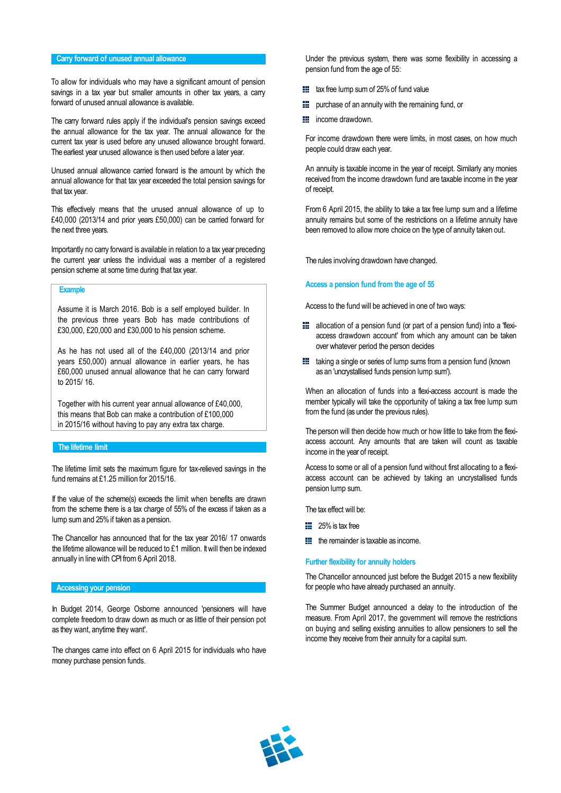# **Carry forward of unused annual allowance**

To allow for individuals who may have a significant amount of pension savings in a tax year but smaller amounts in other tax years, a carry forward of unused annual allowance is available.

The carry forward rules apply if the individual's pension savings exceed the annual allowance for the tax year. The annual allowance for the current tax year is used before any unused allowance brought forward. The earliest year unused allowance is then used before a later year.

Unused annual allowance carried forward is the amount by which the annual allowance for that tax year exceeded the total pension savings for that tax year.

This effectively means that the unused annual allowance of up to £40,000 (2013/14 and prior years £50,000) can be carried forward for the next three years.

Importantly no carry forward is available in relation to a tax year preceding the current year unless the individual was a member of a registered pension scheme at some time during that tax year.

#### **Example**

Assume it is March 2016. Bob is a self employed builder. In the previous three years Bob has made contributions of £30,000, £20,000 and £30,000 to his pension scheme.

As he has not used all of the £40,000 (2013/14 and prior years £50,000) annual allowance in earlier years, he has £60,000 unused annual allowance that he can carry forward to 2015/ 16.

Together with his current year annual allowance of £40,000, this means that Bob can make a contribution of £100,000 in 2015/16 without having to pay any extra tax charge.

# **The lifetime limit**

The lifetime limit sets the maximum figure for tax-relieved savings in the fund remains at £1.25 million for 2015/16.

If the value of the scheme(s) exceeds the limit when benefits are drawn from the scheme there is a tax charge of 55% of the excess if taken as a lump sumand 25%if taken as a pension.

The Chancellor has announced that for the tax year 2016/ 17 onwards the lifetime allowance will be reduced to £1 million. Itwill then be indexed annually in linewith CPI from 6 April 2018.

#### **Accessing your pension**

In Budget 2014, George Osborne announced 'pensioners will have complete freedom to draw down as much or as little of their pension pot as they want, anytime they want'.

The changes came into effect on 6 April 2015 for individuals who have money purchase pension funds.

Under the previous system, there was some flexibility in accessing a pension fund from the age of 55:

- **that** tax free lump sum of 25% of fund value
- **III** purchase of an annuity with the remaining fund, or
- **E** income drawdown.

For income drawdown there were limits, in most cases, on how much people could draw each year.

An annuity is taxable income in the year of receipt. Similarly any monies received from the income drawdown fund are taxable income in the year of receipt.

From 6 April 2015, the ability to take a tax free lump sum and a lifetime annuity remains but some of the restrictions on a lifetime annuity have been removed to allow more choice on the type of annuity taken out.

The rules involving drawdown have changed.

### **Access a pension fund from the age of 55**

Access to the fund will be achieved in one of two ways:

- **E** allocation of a pension fund (or part of a pension fund) into a 'flexiaccess drawdown account' from which any amount can be taken over whatever period the person decides
- **the** taking a single or series of lump sums from a pension fund (known as an 'uncrystallised funds pension lump sum').

When an allocation of funds into a flexi-access account is made the member typically will take the opportunity of taking a tax free lump sum from the fund (as under the previous rules).

The person will then decide how much or how little to take from the flexiaccess account. Any amounts that are taken will count as taxable income in the year of receipt.

Access to some or all of a pension fund without first allocating to a flexiaccess account can be achieved by taking an uncrystallised funds pension lump sum.

The tax effect will be:

- $\frac{12}{25}$  25% is tax free
- $\mathbf{H}$  the remainder is taxable as income.

#### **Further flexibility for annuity holders**

The Chancellor announced just before the Budget 2015 a new flexibility for people who have already purchased an annuity.

The Summer Budget announced a delay to the introduction of the measure. From April 2017, the government will remove the restrictions on buying and selling existing annuities to allow pensioners to sell the income they receive from their annuity for a capital sum.